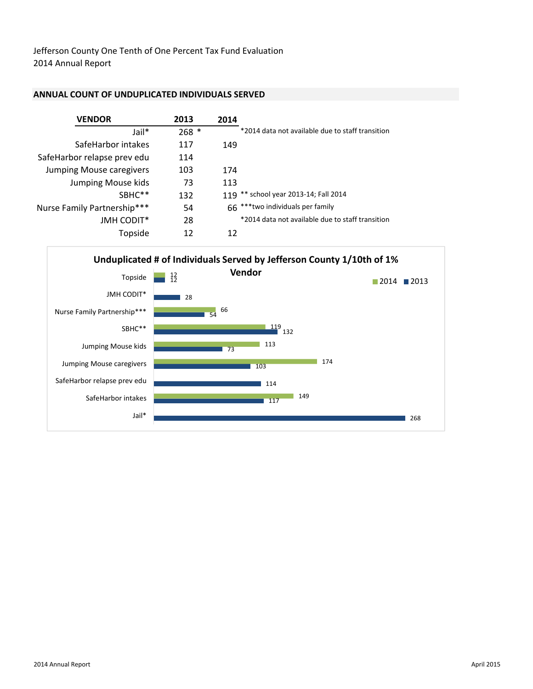Jefferson County One Tenth of One Percent Tax Fund Evaluation 2014 Annual Report

#### ANNUAL COUNT OF UNDUPLICATED INDIVIDUALS SERVED

| <b>VENDOR</b>               | 2013    | 2014                                             |
|-----------------------------|---------|--------------------------------------------------|
| Jail*                       | $268 *$ | *2014 data not available due to staff transition |
| SafeHarbor intakes          | 117     | 149                                              |
| SafeHarbor relapse prev edu | 114     |                                                  |
| Jumping Mouse caregivers    | 103     | 174                                              |
| Jumping Mouse kids          | 73      | 113                                              |
| SBHC <sup>**</sup>          | 132     | 119 ** school year 2013-14; Fall 2014            |
| Nurse Family Partnership*** | 54      | 66 *** two individuals per family                |
| <b>JMH CODIT*</b>           | 28      | *2014 data not available due to staff transition |
| Topside                     | 12      | 12                                               |

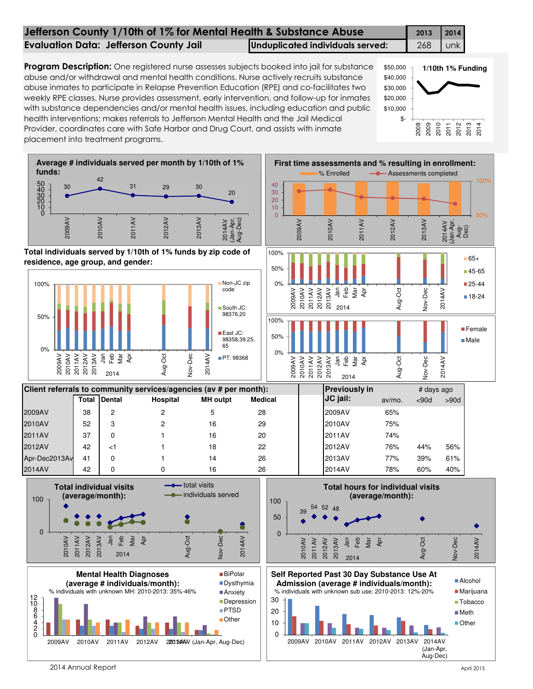| Jefferson County 1/10th of 1% for Mental Health & Substance Abuse |                                  |     |     |  |  |  |
|-------------------------------------------------------------------|----------------------------------|-----|-----|--|--|--|
| <b>Evaluation Data: Jefferson County Jail</b>                     | Unduplicated individuals served: | 268 | unk |  |  |  |
|                                                                   |                                  |     |     |  |  |  |

Program Description: One registered nurse assesses subjects booked into jail for substance abuse and/or withdrawal and mental health conditions. Nurse actively recruits substance abuse inmates to participate in Relapse Prevention Education (RPE) and co-facilitates two weekly RPE classes. Nurse provides assessment, early intervention, and follow-up for inmates with substance dependencies and/or mental health issues, including education and public health interventions; makes referrals to Jefferson Mental Health and the Jail Medical Provider, coordinates care with Safe Harbor and Drug Court, and assists with inmate placement into treatment programs.



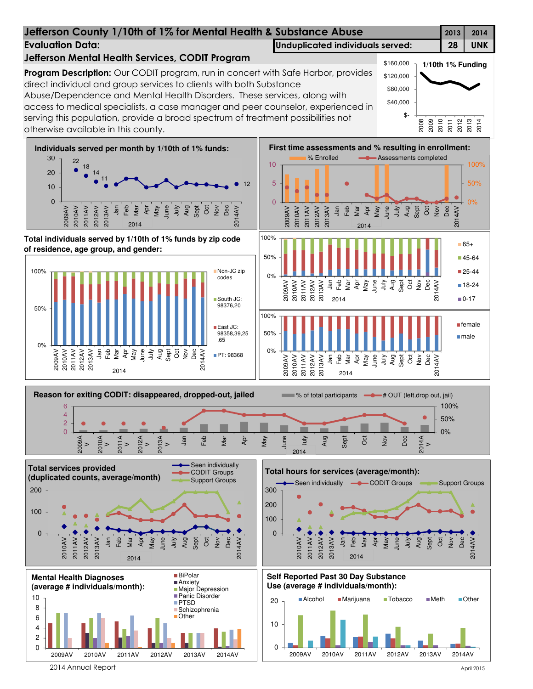

# Jefferson County 1/10th of 1% for Mental Health & Substance Abuse 2013 2014

**Program Description:** Our CODIT program, run in concert with Safe Harbor, provides

Abuse/Dependence and Mental Health Disorders. These services, along with

Jefferson Mental Health Services, CODIT Program

direct individual and group services to clients with both Substance

Evaluation Data: Unduplicated individuals served: 28 UNK

 \$40,000 \$80,000 \$120,000 \$160,000

**1/10th 1% Funding**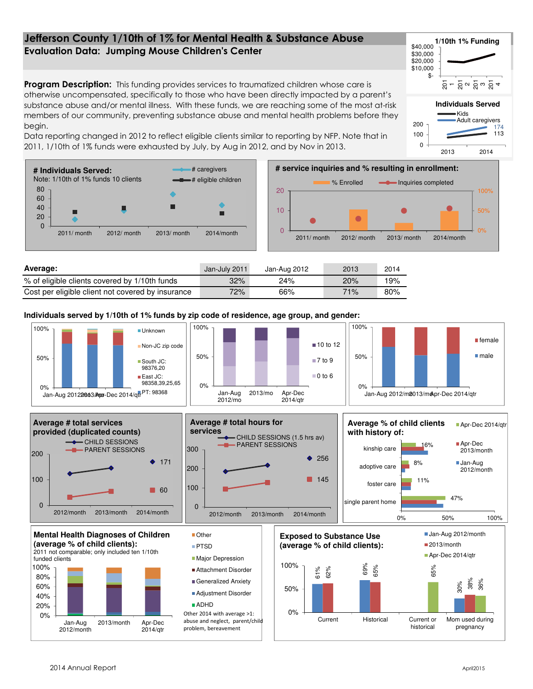### Evaluation Data: Jumping Mouse Children's Center Jefferson County 1/10th of 1% for Mental Health & Substance Abuse

**Program Description:** This funding provides services to traumatized children whose care is otherwise uncompensated, specifically to those who have been directly impacted by a parent's substance abuse and/or mental illness. With these funds, we are reaching some of the most at-risk members of our community, preventing substance abuse and mental health problems before they begin.

Data reporting changed in 2012 to reflect eligible clients similar to reporting by NFP. Note that in 2011, 1/10th of 1% funds were exhausted by July, by Aug in 2012, and by Nov in 2013.

**# Individuals Served:**  # caregivers Note: 1/10th of 1% funds 10 clients # eligible children % Enrolled  $\longrightarrow$  Inquiries completed 80 20 100% 60 40 10 50% Г 20  $\overline{0}$  $\overline{0}$ 0% 2011/ month 2012/ month 2013/ month 2014/month 2011/ month 2012/ month 2013/ month 2014/month **Average:** Jan-July 2011 Jan-Aug 2012 2013 2014 % of eligible clients covered by 1/10th funds 32% 24% 24% 20% 19%

**Individuals served by 1/10th of 1% funds by zip code of residence, age group, and gender:**

Cost per eligible client not covered by insurance  $\frac{72}{66}$  66% 71% 80%







**Individuals Served**

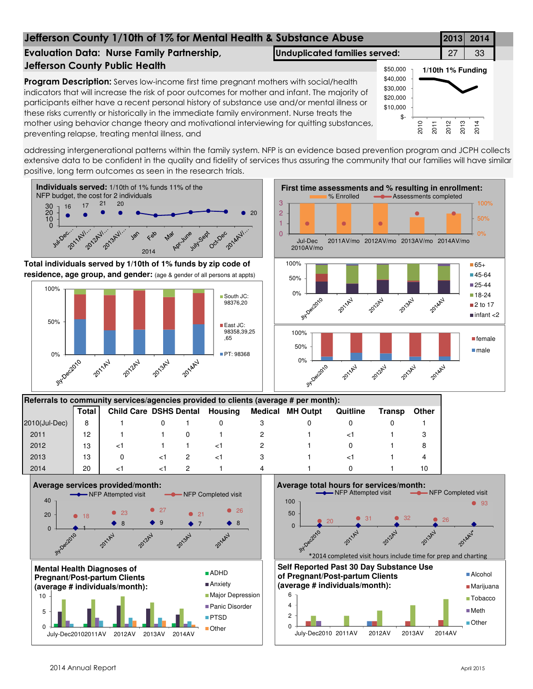# Jefferson County 1/10th of 1% for Mental Health & Substance Abuse **2013 2014** Evaluation Data: Nurse Family Partnership, **Unduplicated families served:** 27 | 33

# Jefferson County Public Health

Program Description: Serves low-income first time pregnant mothers with social/health indicators that will increase the risk of poor outcomes for mother and infant. The majority of participants either have a recent personal history of substance use and/or mental illness or these risks currently or historically in the immediate family environment. Nurse treats the mother using behavior change theory and motivational interviewing for quitting substances, preventing relapse, treating mental illness, and



addressing intergenerational patterns within the family system. NFP is an evidence based prevention program and JCPH collects extensive data to be confident in the quality and fidelity of services thus assuring the community that our families will have similar positive, long term outcomes as seen in the research trials.

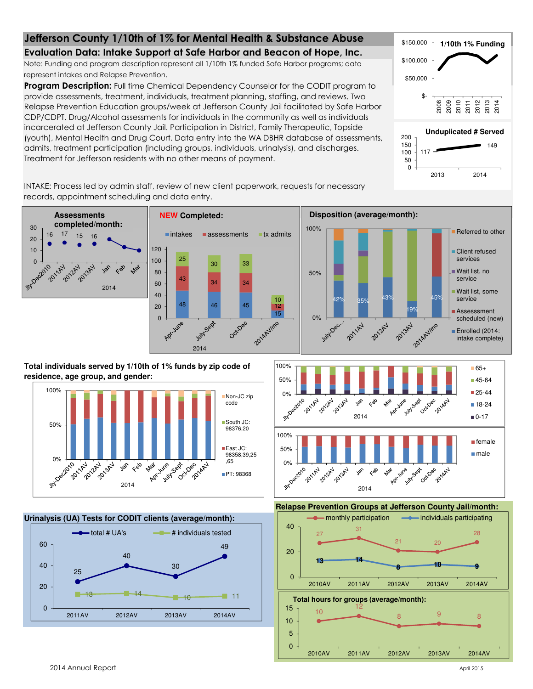## Jefferson County 1/10th of 1% for Mental Health & Substance Abuse

Evaluation Data: Intake Support at Safe Harbor and Beacon of Hope, Inc.

Note: Funding and program description represent all 1/10th 1% funded Safe Harbor programs; data represent intakes and Relapse Prevention.

Program Description: Full time Chemical Dependency Counselor for the CODIT program to provide assessments, treatment, individuals, treatment planning, staffing, and reviews. Two Relapse Prevention Education groups/week at Jefferson County Jail facilitated by Safe Harbor CDP/CDPT. Drug/Alcohol assessments for individuals in the community as well as individuals incarcerated at Jefferson County Jail. Participation in District, Family Therapeutic, Topside (youth), Mental Health and Drug Court. Data entry into the WA DBHR database of assessments, admits, treatment participation (including groups, individuals, urinalysis), and discharges. Treatment for Jefferson residents with no other means of payment.







200

INTAKE: Process led by admin staff, review of new client paperwork, requests for necessary records, appointment scheduling and data entry.



**Total individuals served by 1/10th of 1% funds by zip code of residence, age group, and gender:**







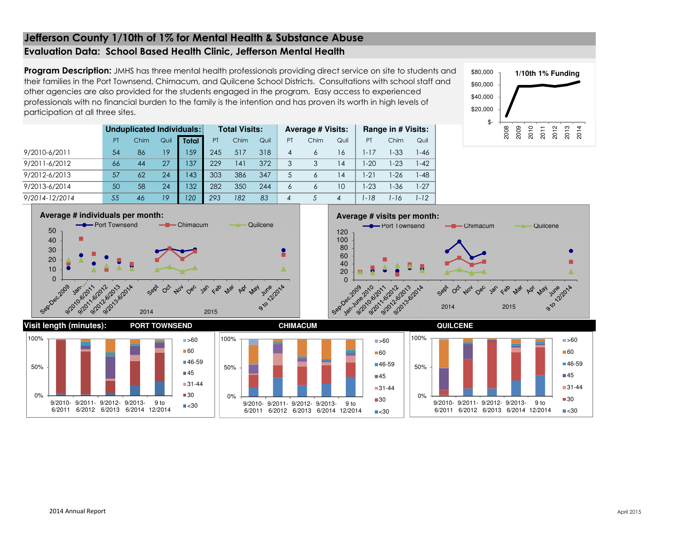## Jefferson County 1/10th of 1% for Mental Health & Substance AbuseEvaluation Data: School Based Health Clinic, Jefferson Mental Health

Program Description: JMHS has three mental health professionals providing direct service on site to students and their families in the Port Townsend, Chimacum, and Quilcene School Districts. Consultations with school staff and other agencies are also provided for the students engaged in the program. Easy access to experienced professionals with no financial burden to the family is the intention and has proven its worth in high levels of participation at all three sites.

| \$80,000 | 1/10th 1% Funding |      |      |      |      |      |      |  |  |  |  |  |  |
|----------|-------------------|------|------|------|------|------|------|--|--|--|--|--|--|
| \$60,000 |                   |      |      |      |      |      |      |  |  |  |  |  |  |
| \$40,000 |                   |      |      |      |      |      |      |  |  |  |  |  |  |
| \$20,000 |                   |      |      |      |      |      |      |  |  |  |  |  |  |
| \$       |                   |      |      |      |      |      |      |  |  |  |  |  |  |
|          | 2008              | 2009 | 2010 | 2011 | 2012 | 2013 | 2014 |  |  |  |  |  |  |

|                | Unduplicated Individuals: |      |      |              |     | <b>Total Visits:</b> |      |    | <b>Average # Visits:</b> |                | Range in # Visits: |          |        |  |
|----------------|---------------------------|------|------|--------------|-----|----------------------|------|----|--------------------------|----------------|--------------------|----------|--------|--|
|                | PT                        | Chim | Quil | <b>Total</b> | PT  | Chim                 | Quil | PT | Chim                     | Quil           | PT                 | Chim     | Quil   |  |
| 9/2010-6/2011  | 54                        | 86   | 19   | 159          | 245 | 517                  | 318  | 4  | 6                        | 16             | $1 - 17$           | $1 - 33$ | 1-46   |  |
| 9/2011-6/2012  | 66                        | 44   | 27   | 137          | 229 | 141                  | 372  | 3  | 3                        | 14             | $-20$              | $1-23$   | 1-42   |  |
| 9/2012-6/2013  | 57                        | 62   | 24   | 143          | 303 | 386                  | 347  | 5  | 6                        | 14             | $-21$              | 1-26     | $1-48$ |  |
| 9/2013-6/2014  | 50                        | 58   | 24   | 132          | 282 | 350                  | 244  | 6  | 6                        | 10             | $-23$              | $1 - 36$ | 1-27   |  |
| 9/2014-12/2014 | 55                        | 46   | 19   | 120          | 293 | 182                  | 83   | 4  |                          | $\overline{4}$ | -18                | 1-16     | 1-12   |  |

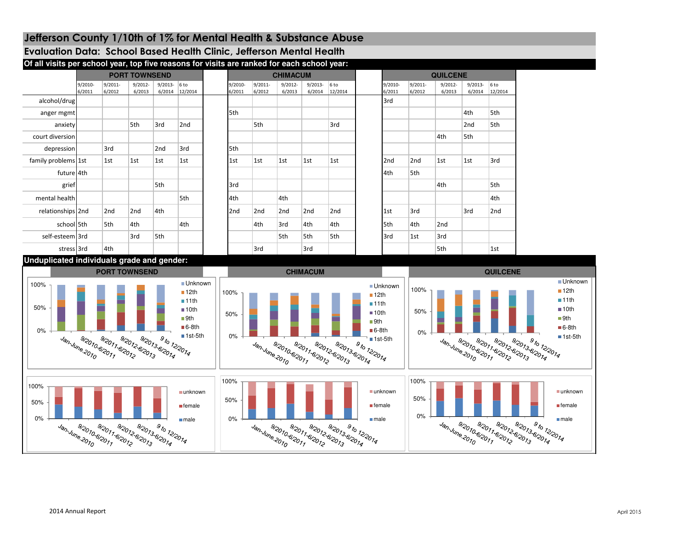# Jefferson County 1/10th of 1% for Mental Health & Substance Abuse

## Evaluation Data: School Based Health Clinic, Jefferson Mental Health

| Of all visits per school year, top five reasons for visits are ranked for each school year: |                      |                   |                      |                      |                            |  |                      |                   |                      |                      |                   |  |                   |                   |                      |                      |                            |  |  |
|---------------------------------------------------------------------------------------------|----------------------|-------------------|----------------------|----------------------|----------------------------|--|----------------------|-------------------|----------------------|----------------------|-------------------|--|-------------------|-------------------|----------------------|----------------------|----------------------------|--|--|
|                                                                                             | <b>PORT TOWNSEND</b> |                   |                      |                      |                            |  | <b>CHIMACUM</b>      |                   |                      |                      |                   |  |                   | <b>QUILCENE</b>   |                      |                      |                            |  |  |
|                                                                                             | 9/2010-<br>6/2011    | 9/2011-<br>6/2012 | $9/2012 -$<br>6/2013 | $9/2013 -$<br>6/2014 | 6 <sub>to</sub><br>12/2014 |  | $9/2010 -$<br>6/2011 | 9/2011-<br>6/2012 | $9/2012 -$<br>6/2013 | $9/2013 -$<br>6/2014 | $6$ to<br>12/2014 |  | 9/2010-<br>6/2011 | 9/2011-<br>6/2012 | $9/2012 -$<br>6/2013 | $9/2013 -$<br>6/2014 | 6 <sub>to</sub><br>12/2014 |  |  |
| alcohol/drug                                                                                |                      |                   |                      |                      |                            |  |                      |                   |                      |                      |                   |  | 3rd               |                   |                      |                      |                            |  |  |
| anger mgmt                                                                                  |                      |                   |                      |                      |                            |  | 5th                  |                   |                      |                      |                   |  |                   |                   |                      | 4th                  | 5th                        |  |  |
| anxiety                                                                                     |                      |                   | 5th                  | 3rd                  | 2nd                        |  |                      | 5th               |                      |                      | 3rd               |  |                   |                   |                      | 2nd                  | 5th                        |  |  |
| court diversion                                                                             |                      |                   |                      |                      |                            |  |                      |                   |                      |                      |                   |  |                   |                   | 4th                  | 5th                  |                            |  |  |
| depression                                                                                  |                      | 3rd               |                      | 2 <sub>nd</sub>      | 3rd                        |  | 5th                  |                   |                      |                      |                   |  |                   |                   |                      |                      |                            |  |  |
| family problems 1st                                                                         |                      | 1st               | 1st                  | 1st                  | 1st                        |  | 1st                  | 1st               | 1st                  | 1st                  | 1st               |  | 2nd               | 2nd               | 1st                  | 1st                  | 3rd                        |  |  |
| future 4th                                                                                  |                      |                   |                      |                      |                            |  |                      |                   |                      |                      |                   |  | 4th               | 5th               |                      |                      |                            |  |  |
| grief                                                                                       |                      |                   |                      | 5th                  |                            |  | 3rd                  |                   |                      |                      |                   |  |                   |                   | 4th                  |                      | 5th                        |  |  |
| mental health                                                                               |                      |                   |                      |                      | 5th                        |  | 4th                  |                   | 4th                  |                      |                   |  |                   |                   |                      |                      | 4th                        |  |  |
| relationships 2nd                                                                           |                      | 2nd               | 2nd                  | 4th                  |                            |  | 2nd                  | 2nd               | 2nd                  | 2 <sub>nd</sub>      | 2nd               |  | 1st               | 3rd               |                      | 3rd                  | 2nd                        |  |  |
| school 5th                                                                                  |                      | 5th               | 4th                  |                      | 4th                        |  |                      | 4th               | 3rd                  | 4th                  | 4th               |  | 5th               | 4th               | 2nd                  |                      |                            |  |  |
| self-esteem 3rd                                                                             |                      |                   | 3rd                  | 5th                  |                            |  |                      |                   | 5th                  | 5th                  | 5th               |  | 3rd               | 1st               | 3rd                  |                      |                            |  |  |
| stress 3rd                                                                                  |                      | 4th               |                      |                      |                            |  |                      | 3rd               |                      | 3rd                  |                   |  |                   |                   | 5th                  |                      | 1st                        |  |  |

#### **Unduplicated individuals grade and gender:**

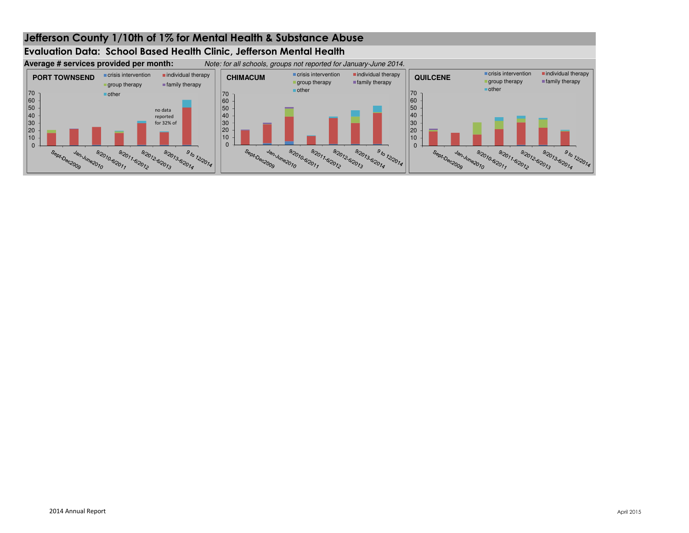